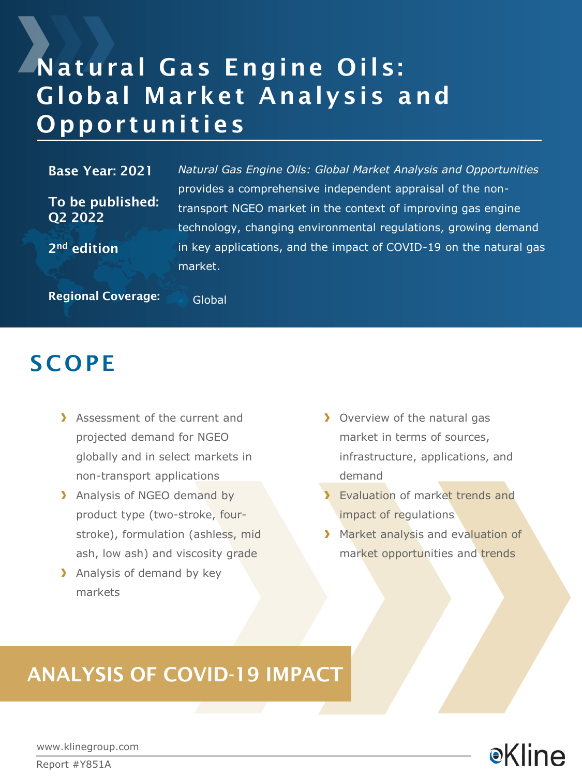# Natural Gas Engine Oils: Global Market Analysis and Opportunities

#### Base Year: 2021

To be published: Q2 2022

*Natural Gas Engine Oils: Global Market Analysis and Opportunities*  provides a comprehensive independent appraisal of the nontransport NGEO market in the context of improving gas engine technology, changing environmental regulations, growing demand in key applications, and the impact of COVID-19 on the natural gas market.

Regional Coverage: Global

2nd edition

### **SCOPE**

- Assessment of the current and projected demand for NGEO globally and in select markets in non-transport applications
- > Analysis of NGEO demand by product type (two-stroke, fourstroke), formulation (ashless, mid ash, low ash) and viscosity grade
- > Analysis of demand by key markets
- **D** Overview of the natural gas market in terms of sources, infrastructure, applications, and demand
- **Evaluation of market trends and** impact of regulations
- Market analysis and evaluation of market opportunities and trends

### ANALYSIS OF COVID-19 IMPACT

**e**Kline

www.klinegroup.com

Report #Y851A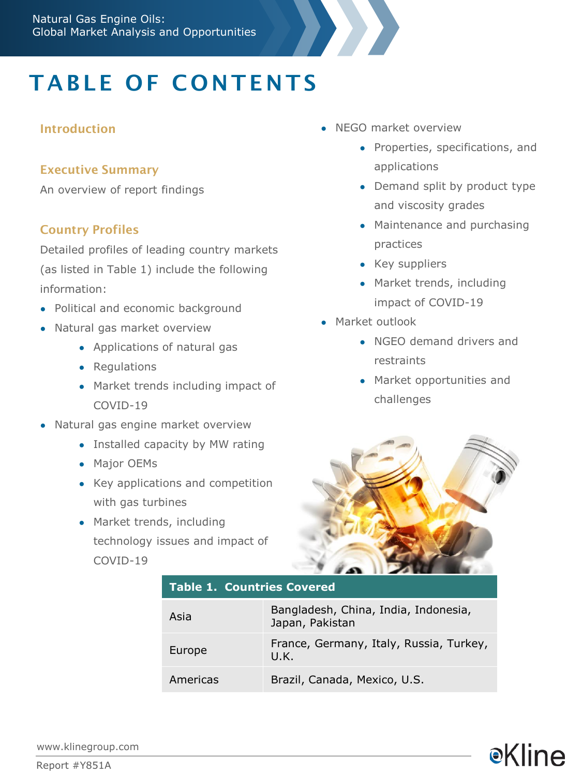## TABLE OF CONTENTS

#### Introduction

#### Executive Summary

An overview of report findings

#### Country Profiles

Detailed profiles of leading country markets (as listed in Table 1) include the following information:

- Political and economic background
- Natural gas market overview
	- Applications of natural gas
	- Regulations
	- Market trends including impact of COVID-19
- Natural gas engine market overview
	- Installed capacity by MW rating
	- Major OEMs
	- Key applications and competition with gas turbines
	- Market trends, including technology issues and impact of COVID-19
- NEGO market overview
	- Properties, specifications, and applications
	- Demand split by product type and viscosity grades
	- Maintenance and purchasing practices
	- Key suppliers
	- Market trends, including impact of COVID-19
- Market outlook
	- NGEO demand drivers and restraints
	- Market opportunities and challenges

**e**Kline



#### **Table 1. Countries Covered**

| Asia     | Bangladesh, China, India, Indonesia,<br>Japan, Pakistan |
|----------|---------------------------------------------------------|
| Europe   | France, Germany, Italy, Russia, Turkey,<br>U.K.         |
| Americas | Brazil, Canada, Mexico, U.S.                            |